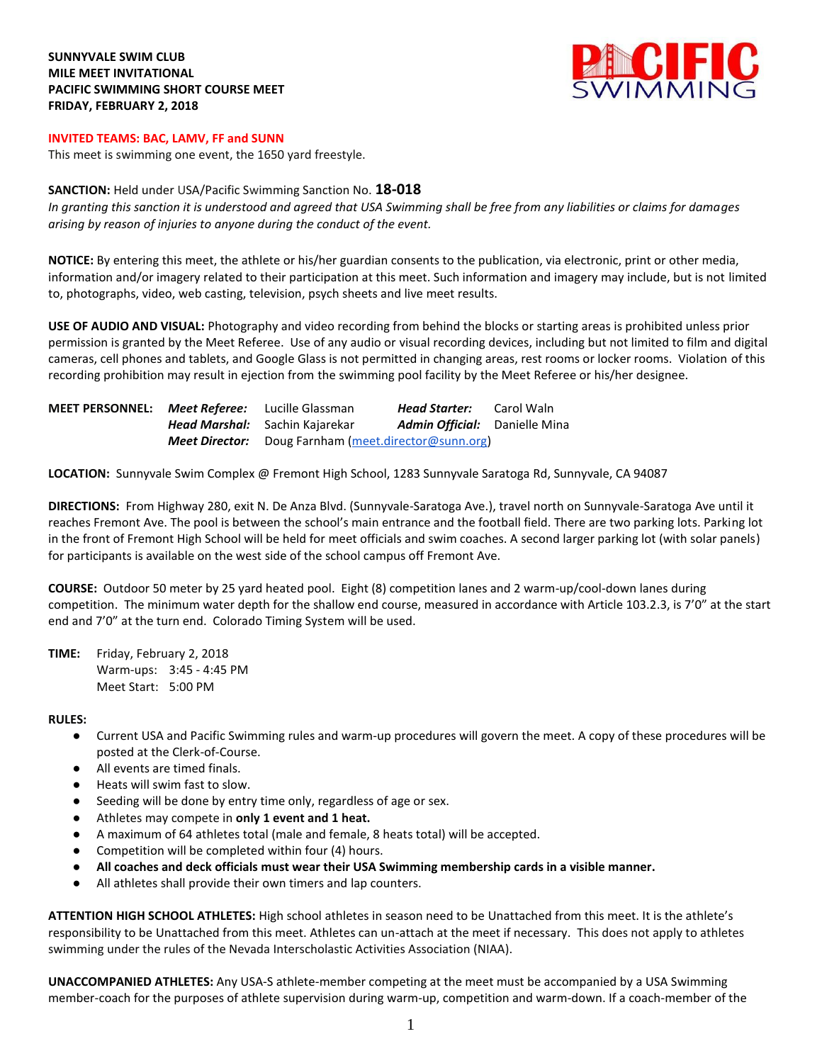## **SUNNYVALE SWIM CLUB MILE MEET INVITATIONAL PACIFIC SWIMMING SHORT COURSE MEET FRIDAY, FEBRUARY 2, 2018**



## **INVITED TEAMS: BAC, LAMV, FF and SUNN**

This meet is swimming one event, the 1650 yard freestyle.

## **SANCTION:** Held under USA/Pacific Swimming Sanction No. **18-018**

*In granting this sanction it is understood and agreed that USA Swimming shall be free from any liabilities or claims for damages arising by reason of injuries to anyone during the conduct of the event.*

**NOTICE:** By entering this meet, the athlete or his/her guardian consents to the publication, via electronic, print or other media, information and/or imagery related to their participation at this meet. Such information and imagery may include, but is not limited to, photographs, video, web casting, television, psych sheets and live meet results.

**USE OF AUDIO AND VISUAL:** Photography and video recording from behind the blocks or starting areas is prohibited unless prior permission is granted by the Meet Referee. Use of any audio or visual recording devices, including but not limited to film and digital cameras, cell phones and tablets, and Google Glass is not permitted in changing areas, rest rooms or locker rooms. Violation of this recording prohibition may result in ejection from the swimming pool facility by the Meet Referee or his/her designee.

| MEET PERSONNEL: Meet Referee: | Lucille Glassman                                            | Head Starter:                        | Carol Waln |
|-------------------------------|-------------------------------------------------------------|--------------------------------------|------------|
|                               | <b>Head Marshal:</b> Sachin Kajarekar                       | <b>Admin Official:</b> Danielle Mina |            |
|                               | <b>Meet Director:</b> Doug Farnham (meet.director@sunn.org) |                                      |            |

**LOCATION:** Sunnyvale Swim Complex @ Fremont High School, 1283 Sunnyvale Saratoga Rd, Sunnyvale, CA 94087

**DIRECTIONS:** From Highway 280, exit N. De Anza Blvd. (Sunnyvale-Saratoga Ave.), travel north on Sunnyvale-Saratoga Ave until it reaches Fremont Ave. The pool is between the school's main entrance and the football field. There are two parking lots. Parking lot in the front of Fremont High School will be held for meet officials and swim coaches. A second larger parking lot (with solar panels) for participants is available on the west side of the school campus off Fremont Ave.

**COURSE:** Outdoor 50 meter by 25 yard heated pool. Eight (8) competition lanes and 2 warm-up/cool-down lanes during competition.The minimum water depth for the shallow end course, measured in accordance with Article 103.2.3, is 7'0" at the start end and 7'0" at the turn end. Colorado Timing System will be used.

**TIME:** Friday, February 2, 2018 Warm-ups: 3:45 - 4:45 PM Meet Start: 5:00 PM

#### **RULES:**

- Current USA and Pacific Swimming rules and warm-up procedures will govern the meet. A copy of these procedures will be posted at the Clerk-of-Course.
- All events are timed finals.
- Heats will swim fast to slow.
- Seeding will be done by entry time only, regardless of age or sex.
- Athletes may compete in only 1 event and 1 heat.
- A maximum of 64 athletes total (male and female, 8 heats total) will be accepted.
- Competition will be completed within four (4) hours.
- **All coaches and deck officials must wear their USA Swimming membership cards in a visible manner.**
- All athletes shall provide their own timers and lap counters.

**ATTENTION HIGH SCHOOL ATHLETES:** High school athletes in season need to be Unattached from this meet. It is the athlete's responsibility to be Unattached from this meet. Athletes can un-attach at the meet if necessary. This does not apply to athletes swimming under the rules of the Nevada Interscholastic Activities Association (NIAA).

**UNACCOMPANIED ATHLETES:** Any USA-S athlete-member competing at the meet must be accompanied by a USA Swimming member-coach for the purposes of athlete supervision during warm-up, competition and warm-down. If a coach-member of the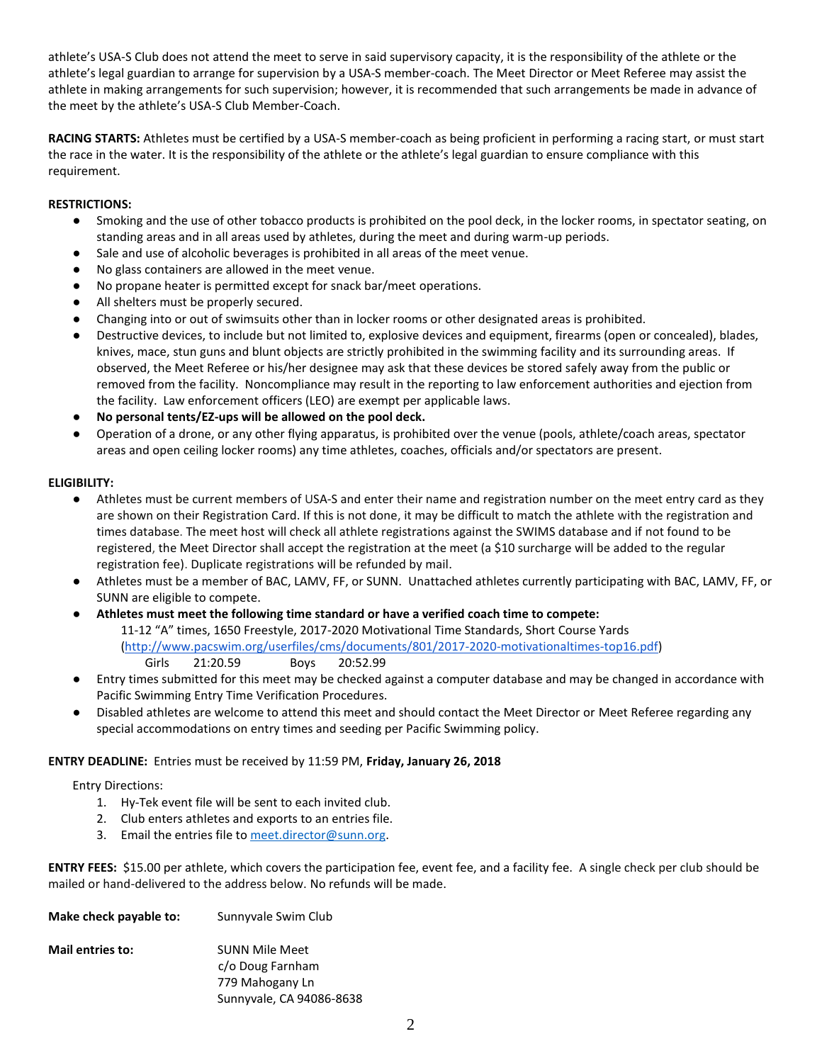athlete's USA-S Club does not attend the meet to serve in said supervisory capacity, it is the responsibility of the athlete or the athlete's legal guardian to arrange for supervision by a USA-S member-coach. The Meet Director or Meet Referee may assist the athlete in making arrangements for such supervision; however, it is recommended that such arrangements be made in advance of the meet by the athlete's USA-S Club Member-Coach.

**RACING STARTS:** Athletes must be certified by a USA-S member-coach as being proficient in performing a racing start, or must start the race in the water. It is the responsibility of the athlete or the athlete's legal guardian to ensure compliance with this requirement.

# **RESTRICTIONS:**

- Smoking and the use of other tobacco products is prohibited on the pool deck, in the locker rooms, in spectator seating, on standing areas and in all areas used by athletes, during the meet and during warm-up periods.
- Sale and use of alcoholic beverages is prohibited in all areas of the meet venue.
- No glass containers are allowed in the meet venue.
- No propane heater is permitted except for snack bar/meet operations.
- All shelters must be properly secured.
- Changing into or out of swimsuits other than in locker rooms or other designated areas is prohibited.
- Destructive devices, to include but not limited to, explosive devices and equipment, firearms (open or concealed), blades, knives, mace, stun guns and blunt objects are strictly prohibited in the swimming facility and its surrounding areas. If observed, the Meet Referee or his/her designee may ask that these devices be stored safely away from the public or removed from the facility. Noncompliance may result in the reporting to law enforcement authorities and ejection from the facility. Law enforcement officers (LEO) are exempt per applicable laws.
- No personal tents/EZ-ups will be allowed on the pool deck.
- Operation of a drone, or any other flying apparatus, is prohibited over the venue (pools, athlete/coach areas, spectator areas and open ceiling locker rooms) any time athletes, coaches, officials and/or spectators are present.

## **ELIGIBILITY:**

- Athletes must be current members of USA-S and enter their name and registration number on the meet entry card as they are shown on their Registration Card. If this is not done, it may be difficult to match the athlete with the registration and times database. The meet host will check all athlete registrations against the SWIMS database and if not found to be registered, the Meet Director shall accept the registration at the meet (a \$10 surcharge will be added to the regular registration fee). Duplicate registrations will be refunded by mail.
- Athletes must be a member of BAC, LAMV, FF, or SUNN. Unattached athletes currently participating with BAC, LAMV, FF, or SUNN are eligible to compete.
- **Athletes must meet the following time standard or have a verified coach time to compete:** 11-12 "A" times, 1650 Freestyle, 2017-2020 Motivational Time Standards, Short Course Yards [\(http://www.pacswim.org/userfiles/cms/documents/801/2017-2020-motivationaltimes-top16.pdf\)](http://www.pacswim.org/userfiles/cms/documents/801/2017-2020-motivationaltimes-top16.pdf) Girls 21:20.59 Boys 20:52.99
- Entry times submitted for this meet may be checked against a computer database and may be changed in accordance with Pacific Swimming Entry Time Verification Procedures.
- Disabled athletes are welcome to attend this meet and should contact the Meet Director or Meet Referee regarding any special accommodations on entry times and seeding per Pacific Swimming policy.

## **ENTRY DEADLINE:** Entries must be received by 11:59 PM, **Friday, January 26, 2018**

## Entry Directions:

- 1. Hy-Tek event file will be sent to each invited club.
- 2. Club enters athletes and exports to an entries file.
- 3. Email the entries file t[o meet.director@sunn.org.](mailto:meet.director@sunn.org)

**ENTRY FEES:** \$15.00 per athlete, which covers the participation fee, event fee, and a facility fee. A single check per club should be mailed or hand-delivered to the address below. No refunds will be made.

| Make check payable to:  | Sunnyvale Swim Club      |
|-------------------------|--------------------------|
| <b>Mail entries to:</b> | <b>SUNN Mile Meet</b>    |
|                         | c/o Doug Farnham         |
|                         | 779 Mahogany Ln          |
|                         | Sunnyvale, CA 94086-8638 |